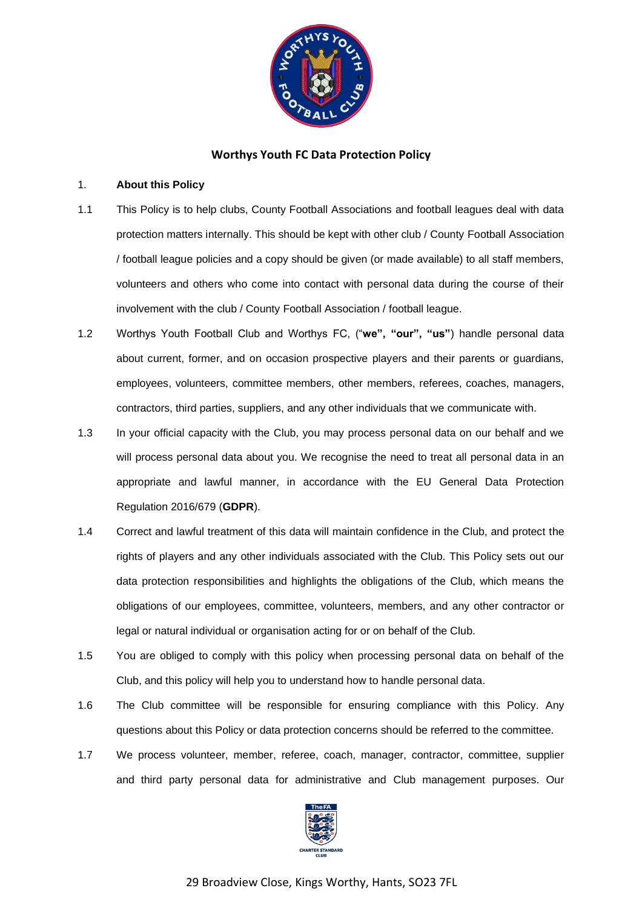

# **Worthys Youth FC Data Protection Policy**

## 1. **About this Policy**

- 1.1 This Policy is to help clubs, County Football Associations and football leagues deal with data protection matters internally. This should be kept with other club / County Football Association / football league policies and a copy should be given (or made available) to all staff members, volunteers and others who come into contact with personal data during the course of their involvement with the club / County Football Association / football league.
- 1.2 Worthys Youth Football Club and Worthys FC, ("**we", "our", "us"**) handle personal data about current, former, and on occasion prospective players and their parents or guardians, employees, volunteers, committee members, other members, referees, coaches, managers, contractors, third parties, suppliers, and any other individuals that we communicate with.
- 1.3 In your official capacity with the Club, you may process personal data on our behalf and we will process personal data about you. We recognise the need to treat all personal data in an appropriate and lawful manner, in accordance with the EU General Data Protection Regulation 2016/679 (**GDPR**).
- 1.4 Correct and lawful treatment of this data will maintain confidence in the Club, and protect the rights of players and any other individuals associated with the Club. This Policy sets out our data protection responsibilities and highlights the obligations of the Club, which means the obligations of our employees, committee, volunteers, members, and any other contractor or legal or natural individual or organisation acting for or on behalf of the Club.
- 1.5 You are obliged to comply with this policy when processing personal data on behalf of the Club, and this policy will help you to understand how to handle personal data.
- 1.6 The Club committee will be responsible for ensuring compliance with this Policy. Any questions about this Policy or data protection concerns should be referred to the committee.
- 1.7 We process volunteer, member, referee, coach, manager, contractor, committee, supplier and third party personal data for administrative and Club management purposes. Our

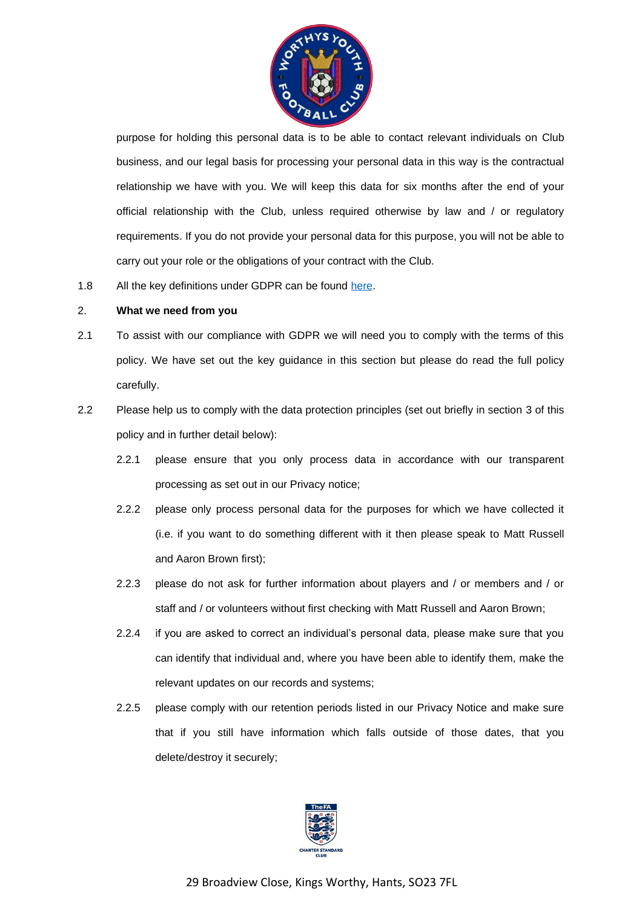

purpose for holding this personal data is to be able to contact relevant individuals on Club business, and our legal basis for processing your personal data in this way is the contractual relationship we have with you. We will keep this data for six months after the end of your official relationship with the Club, unless required otherwise by law and / or regulatory requirements. If you do not provide your personal data for this purpose, you will not be able to carry out your role or the obligations of your contract with the Club.

1.8 All the key definitions under GDPR can be found [here.](https://ico.org.uk/for-organisations/guide-to-the-general-data-protection-regulation-gdpr/key-definitions/)

#### 2. **What we need from you**

- 2.1 To assist with our compliance with GDPR we will need you to comply with the terms of this policy. We have set out the key guidance in this section but please do read the full policy carefully.
- 2.2 Please help us to comply with the data protection principles (set out briefly in section [3](#page-3-0) of this policy and in further detail below):
	- 2.2.1 please ensure that you only process data in accordance with our transparent processing as set out in our Privacy notice;
	- 2.2.2 please only process personal data for the purposes for which we have collected it (i.e. if you want to do something different with it then please speak to Matt Russell and Aaron Brown first);
	- 2.2.3 please do not ask for further information about players and / or members and / or staff and / or volunteers without first checking with Matt Russell and Aaron Brown;
	- 2.2.4 if you are asked to correct an individual's personal data, please make sure that you can identify that individual and, where you have been able to identify them, make the relevant updates on our records and systems;
	- 2.2.5 please comply with our retention periods listed in our Privacy Notice and make sure that if you still have information which falls outside of those dates, that you delete/destroy it securely;

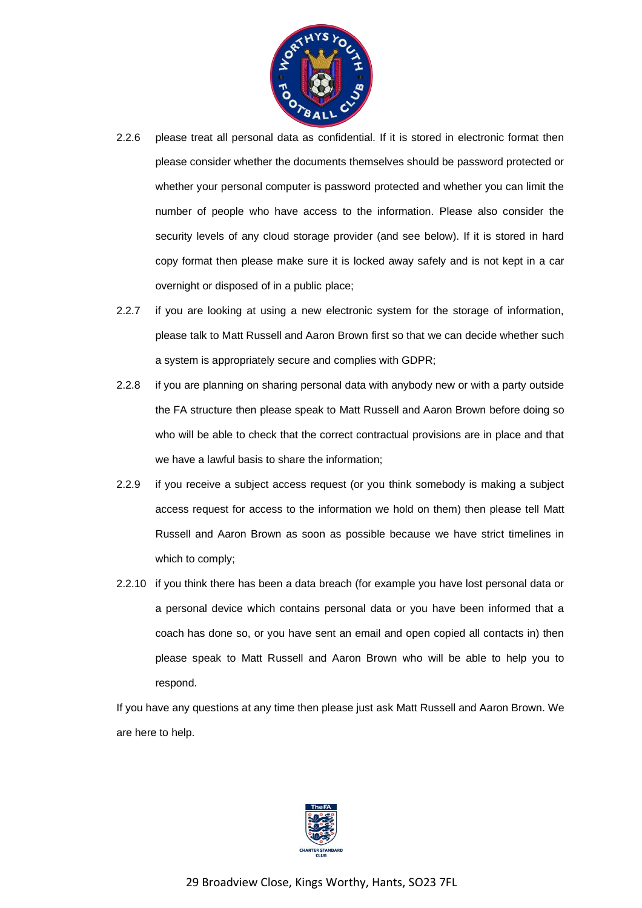

- 2.2.6 please treat all personal data as confidential. If it is stored in electronic format then please consider whether the documents themselves should be password protected or whether your personal computer is password protected and whether you can limit the number of people who have access to the information. Please also consider the security levels of any cloud storage provider (and see below). If it is stored in hard copy format then please make sure it is locked away safely and is not kept in a car overnight or disposed of in a public place;
- 2.2.7 if you are looking at using a new electronic system for the storage of information, please talk to Matt Russell and Aaron Brown first so that we can decide whether such a system is appropriately secure and complies with GDPR;
- 2.2.8 if you are planning on sharing personal data with anybody new or with a party outside the FA structure then please speak to Matt Russell and Aaron Brown before doing so who will be able to check that the correct contractual provisions are in place and that we have a lawful basis to share the information;
- 2.2.9 if you receive a subject access request (or you think somebody is making a subject access request for access to the information we hold on them) then please tell Matt Russell and Aaron Brown as soon as possible because we have strict timelines in which to comply;
- 2.2.10 if you think there has been a data breach (for example you have lost personal data or a personal device which contains personal data or you have been informed that a coach has done so, or you have sent an email and open copied all contacts in) then please speak to Matt Russell and Aaron Brown who will be able to help you to respond.

If you have any questions at any time then please just ask Matt Russell and Aaron Brown. We are here to help.

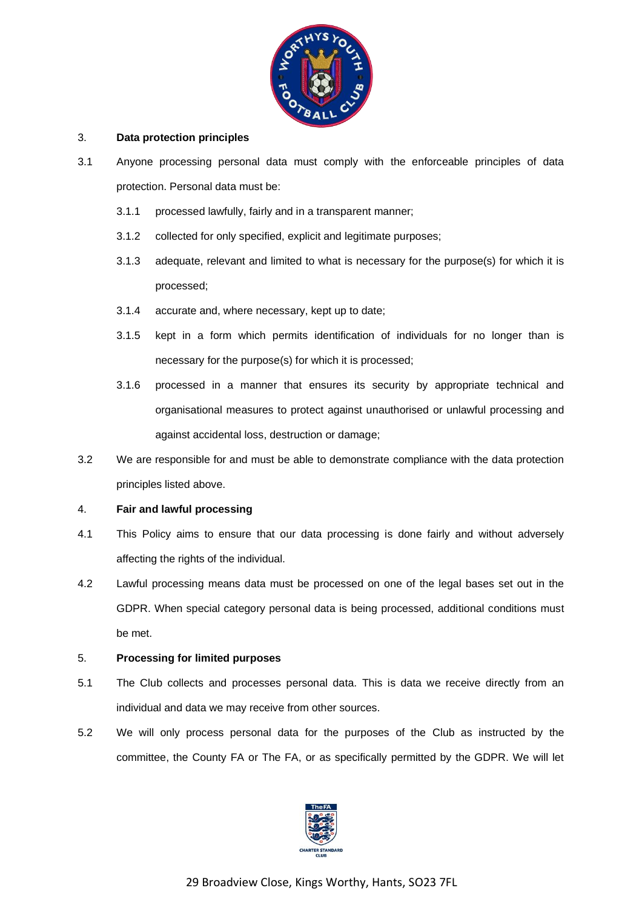

## <span id="page-3-0"></span>3. **Data protection principles**

- 3.1 Anyone processing personal data must comply with the enforceable principles of data protection. Personal data must be:
	- 3.1.1 processed lawfully, fairly and in a transparent manner;
	- 3.1.2 collected for only specified, explicit and legitimate purposes;
	- 3.1.3 adequate, relevant and limited to what is necessary for the purpose(s) for which it is processed;
	- 3.1.4 accurate and, where necessary, kept up to date;
	- 3.1.5 kept in a form which permits identification of individuals for no longer than is necessary for the purpose(s) for which it is processed;
	- 3.1.6 processed in a manner that ensures its security by appropriate technical and organisational measures to protect against unauthorised or unlawful processing and against accidental loss, destruction or damage;
- 3.2 We are responsible for and must be able to demonstrate compliance with the data protection principles listed above.

#### 4. **Fair and lawful processing**

- 4.1 This Policy aims to ensure that our data processing is done fairly and without adversely affecting the rights of the individual.
- 4.2 Lawful processing means data must be processed on one of the legal bases set out in the GDPR. When special category personal data is being processed, additional conditions must be met.

## 5. **Processing for limited purposes**

- 5.1 The Club collects and processes personal data. This is data we receive directly from an individual and data we may receive from other sources.
- 5.2 We will only process personal data for the purposes of the Club as instructed by the committee, the County FA or The FA, or as specifically permitted by the GDPR. We will let

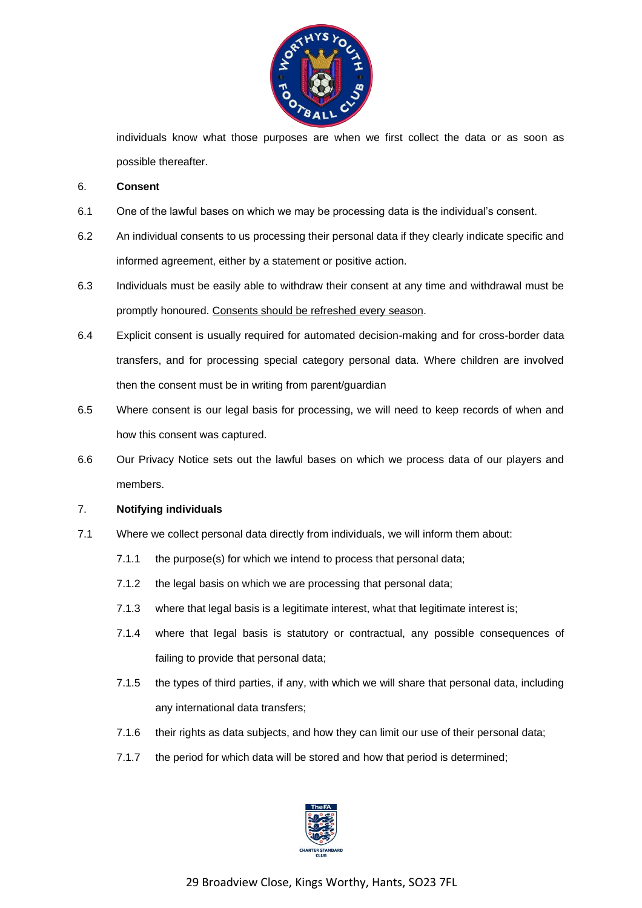

individuals know what those purposes are when we first collect the data or as soon as possible thereafter.

#### 6. **Consent**

- 6.1 One of the lawful bases on which we may be processing data is the individual's consent.
- 6.2 An individual consents to us processing their personal data if they clearly indicate specific and informed agreement, either by a statement or positive action.
- 6.3 Individuals must be easily able to withdraw their consent at any time and withdrawal must be promptly honoured. Consents should be refreshed every season.
- 6.4 Explicit consent is usually required for automated decision-making and for cross-border data transfers, and for processing special category personal data. Where children are involved then the consent must be in writing from parent/guardian
- 6.5 Where consent is our legal basis for processing, we will need to keep records of when and how this consent was captured.
- 6.6 Our Privacy Notice sets out the lawful bases on which we process data of our players and members.

## 7. **Notifying individuals**

- 7.1 Where we collect personal data directly from individuals, we will inform them about:
	- 7.1.1 the purpose(s) for which we intend to process that personal data;
	- 7.1.2 the legal basis on which we are processing that personal data;
	- 7.1.3 where that legal basis is a legitimate interest, what that legitimate interest is:
	- 7.1.4 where that legal basis is statutory or contractual, any possible consequences of failing to provide that personal data;
	- 7.1.5 the types of third parties, if any, with which we will share that personal data, including any international data transfers;
	- 7.1.6 their rights as data subjects, and how they can limit our use of their personal data;
	- 7.1.7 the period for which data will be stored and how that period is determined;

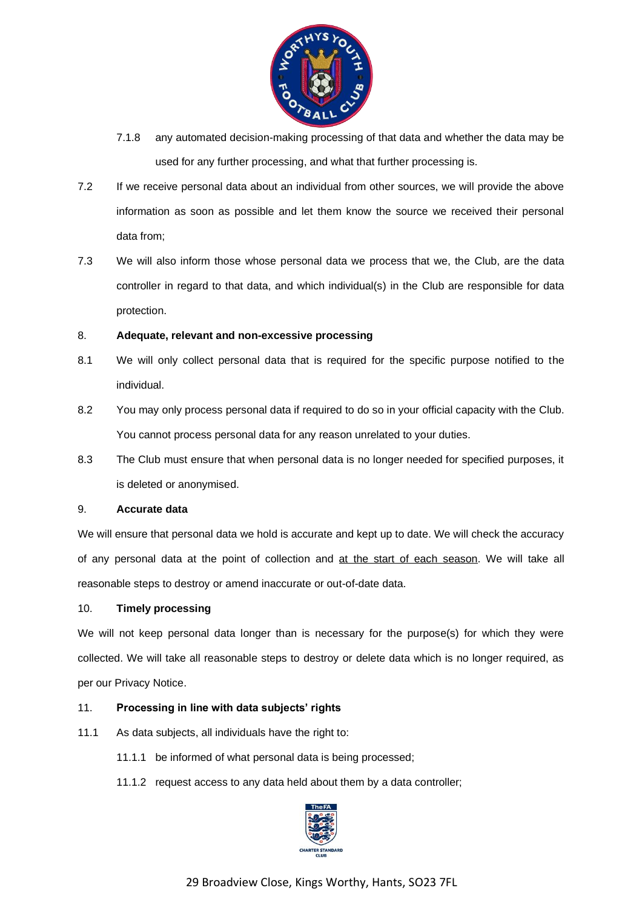

- 7.1.8 any automated decision-making processing of that data and whether the data may be used for any further processing, and what that further processing is.
- 7.2 If we receive personal data about an individual from other sources, we will provide the above information as soon as possible and let them know the source we received their personal data from;
- 7.3 We will also inform those whose personal data we process that we, the Club, are the data controller in regard to that data, and which individual(s) in the Club are responsible for data protection.

# 8. **Adequate, relevant and non-excessive processing**

- 8.1 We will only collect personal data that is required for the specific purpose notified to the individual.
- 8.2 You may only process personal data if required to do so in your official capacity with the Club. You cannot process personal data for any reason unrelated to your duties.
- 8.3 The Club must ensure that when personal data is no longer needed for specified purposes, it is deleted or anonymised.

## 9. **Accurate data**

We will ensure that personal data we hold is accurate and kept up to date. We will check the accuracy of any personal data at the point of collection and at the start of each season. We will take all reasonable steps to destroy or amend inaccurate or out-of-date data.

## 10. **Timely processing**

We will not keep personal data longer than is necessary for the purpose(s) for which they were collected. We will take all reasonable steps to destroy or delete data which is no longer required, as per our Privacy Notice.

## 11. **Processing in line with data subjects' rights**

- 11.1 As data subjects, all individuals have the right to:
	- 11.1.1 be informed of what personal data is being processed;
	- 11.1.2 request access to any data held about them by a data controller;



29 Broadview Close, Kings Worthy, Hants, SO23 7FL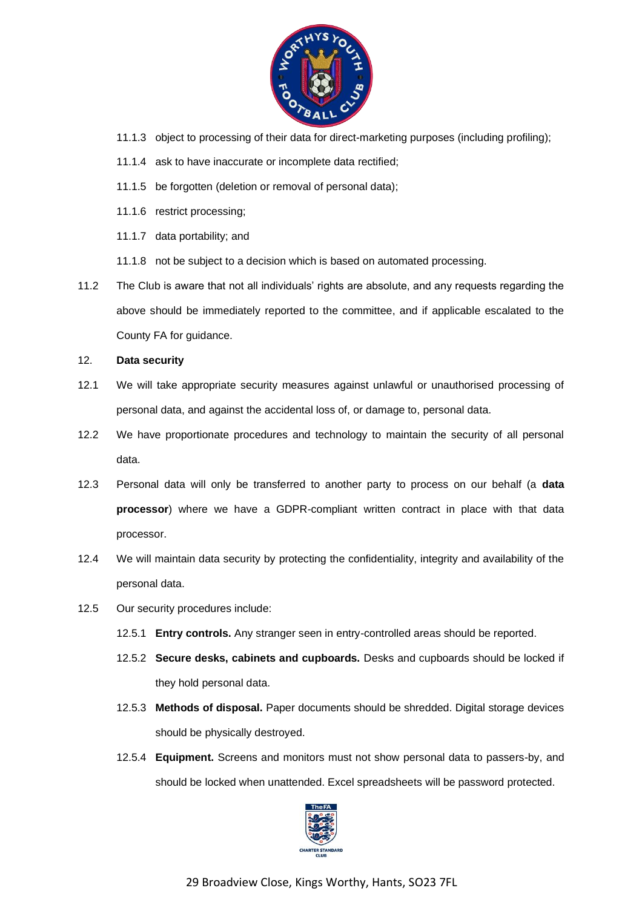

- 11.1.3 object to processing of their data for direct-marketing purposes (including profiling);
- 11.1.4 ask to have inaccurate or incomplete data rectified;
- 11.1.5 be forgotten (deletion or removal of personal data);
- 11.1.6 restrict processing;
- 11.1.7 data portability; and
- 11.1.8 not be subject to a decision which is based on automated processing.
- 11.2 The Club is aware that not all individuals' rights are absolute, and any requests regarding the above should be immediately reported to the committee, and if applicable escalated to the County FA for guidance.
- 12. **Data security**
- 12.1 We will take appropriate security measures against unlawful or unauthorised processing of personal data, and against the accidental loss of, or damage to, personal data.
- 12.2 We have proportionate procedures and technology to maintain the security of all personal data.
- 12.3 Personal data will only be transferred to another party to process on our behalf (a **data processor**) where we have a GDPR-compliant written contract in place with that data processor.
- 12.4 We will maintain data security by protecting the confidentiality, integrity and availability of the personal data.
- 12.5 Our security procedures include:
	- 12.5.1 **Entry controls.** Any stranger seen in entry-controlled areas should be reported.
	- 12.5.2 **Secure desks, cabinets and cupboards.** Desks and cupboards should be locked if they hold personal data.
	- 12.5.3 **Methods of disposal.** Paper documents should be shredded. Digital storage devices should be physically destroyed.
	- 12.5.4 **Equipment.** Screens and monitors must not show personal data to passers-by, and should be locked when unattended. Excel spreadsheets will be password protected.



29 Broadview Close, Kings Worthy, Hants, SO23 7FL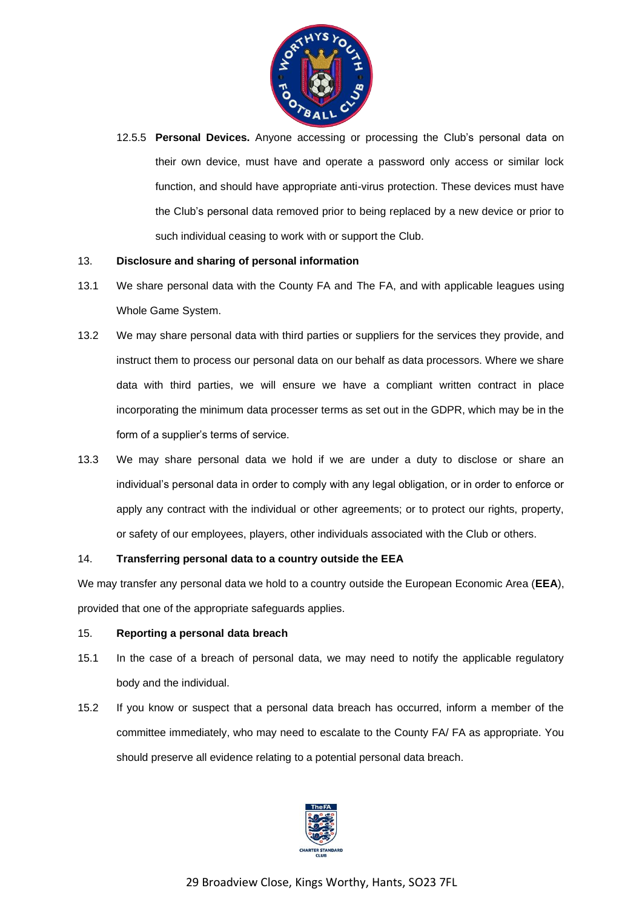

12.5.5 **Personal Devices.** Anyone accessing or processing the Club's personal data on their own device, must have and operate a password only access or similar lock function, and should have appropriate anti-virus protection. These devices must have the Club's personal data removed prior to being replaced by a new device or prior to such individual ceasing to work with or support the Club.

## 13. **Disclosure and sharing of personal information**

- 13.1 We share personal data with the County FA and The FA, and with applicable leagues using Whole Game System.
- 13.2 We may share personal data with third parties or suppliers for the services they provide, and instruct them to process our personal data on our behalf as data processors. Where we share data with third parties, we will ensure we have a compliant written contract in place incorporating the minimum data processer terms as set out in the GDPR, which may be in the form of a supplier's terms of service.
- 13.3 We may share personal data we hold if we are under a duty to disclose or share an individual's personal data in order to comply with any legal obligation, or in order to enforce or apply any contract with the individual or other agreements; or to protect our rights, property, or safety of our employees, players, other individuals associated with the Club or others.

## 14. **Transferring personal data to a country outside the EEA**

We may transfer any personal data we hold to a country outside the European Economic Area (**EEA**), provided that one of the appropriate safeguards applies.

## 15. **Reporting a personal data breach**

- 15.1 In the case of a breach of personal data, we may need to notify the applicable regulatory body and the individual.
- 15.2 If you know or suspect that a personal data breach has occurred, inform a member of the committee immediately, who may need to escalate to the County FA/ FA as appropriate. You should preserve all evidence relating to a potential personal data breach.